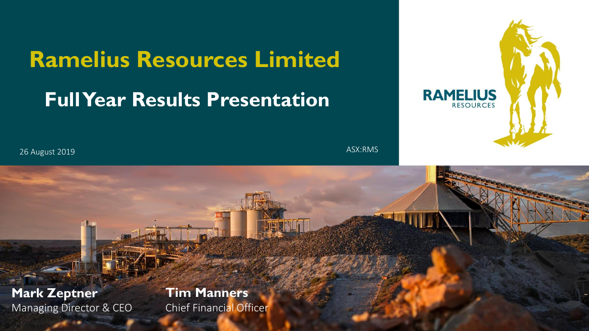# **Ramelius Resources Limited Full Year Results Presentation**



FY19 RESULTS PRESENTATION • AUGUST 2019 1

26 August 2019

ASX:RMS

**Mark Zeptner** Managing Director & CEO

#### **Tim Manners** Chief Financial Officer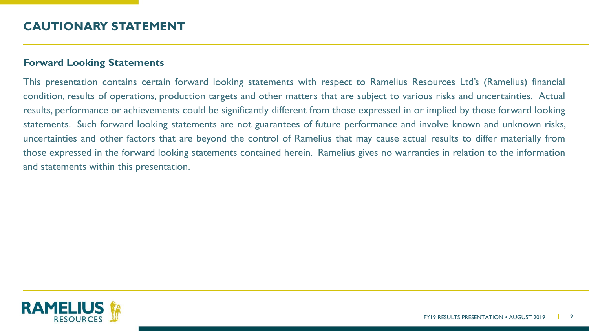#### **Forward Looking Statements**

This presentation contains certain forward looking statements with respect to Ramelius Resources Ltd's (Ramelius) financial condition, results of operations, production targets and other matters that are subject to various risks and uncertainties. Actual results, performance or achievements could be significantly different from those expressed in or implied by those forward looking statements. Such forward looking statements are not guarantees of future performance and involve known and unknown risks, uncertainties and other factors that are beyond the control of Ramelius that may cause actual results to differ materially from those expressed in the forward looking statements contained herein. Ramelius gives no warranties in relation to the information and statements within this presentation.

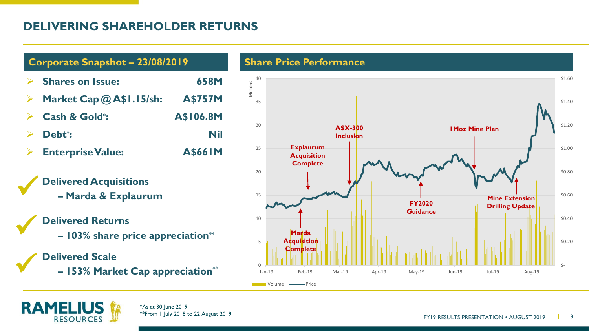# **DELIVERING SHAREHOLDER RETURNS**





✓

✓

✓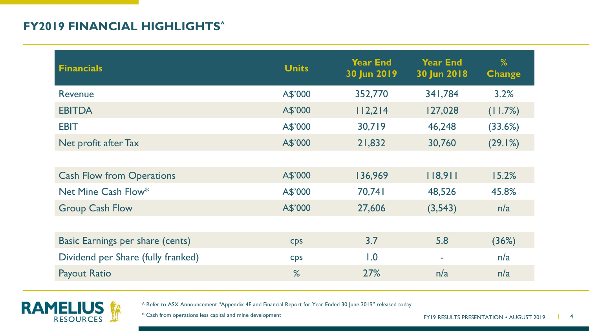# **FY2019 FINANCIAL HIGHLIGHTS^**

| <b>Financials</b>                  | <b>Units</b> | <b>Year End</b><br>30 Jun 2019 | <b>Year End</b><br>30 Jun 2018 | %<br><b>Change</b> |
|------------------------------------|--------------|--------------------------------|--------------------------------|--------------------|
| Revenue                            | A\$'000      | 352,770                        | 341,784                        | 3.2%               |
| <b>EBITDA</b>                      | A\$'000      | 112,214                        | 127,028                        | (11.7%)            |
| <b>EBIT</b>                        | A\$'000      | 30,719                         | 46,248                         | (33.6%)            |
| Net profit after Tax               | A\$'000      | 21,832                         | 30,760                         | (29.1%)            |
|                                    |              |                                |                                |                    |
| <b>Cash Flow from Operations</b>   | A\$'000      | 136,969                        | 118,911                        | 15.2%              |
| Net Mine Cash Flow*                | A\$'000      | 70,741                         | 48,526                         | 45.8%              |
| <b>Group Cash Flow</b>             | A\$'000      | 27,606                         | (3,543)                        | n/a                |
|                                    |              |                                |                                |                    |
| Basic Earnings per share (cents)   | <b>CDS</b>   | 3.7                            | 5.8                            | (36%)              |
| Dividend per Share (fully franked) | <b>Cps</b>   | 1.0                            |                                | n/a                |
| <b>Payout Ratio</b>                | %            | 27%                            | n/a                            | n/a                |
|                                    |              |                                |                                |                    |



^ Refer to ASX Announcement "Appendix 4E and Financial Report for Year Ended 30 June 2019" released today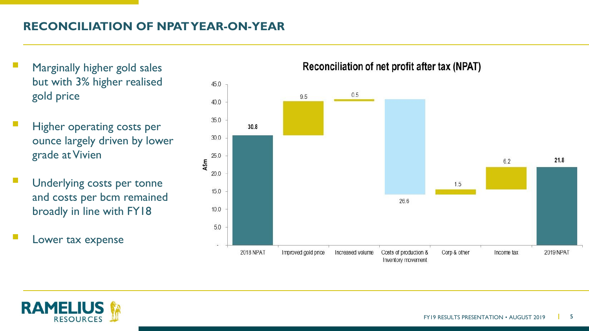# **RECONCILIATION OF NPAT YEAR-ON-YEAR**

- Marginally higher gold sales but with 3% higher realised gold price
- Higher operating costs per ounce largely driven by lower grade at Vivien
- Underlying costs per tonne and costs per bcm remained broadly in line with FY18
- Lower tax expense





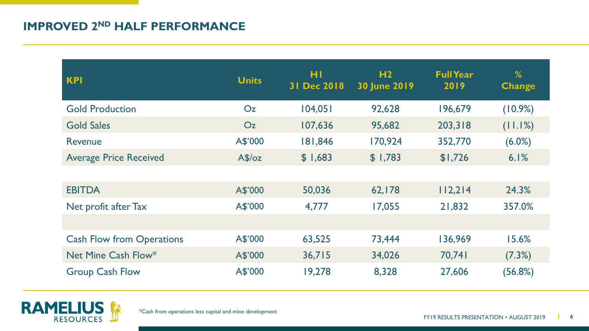### **IMPROVED 2ND HALF PERFORMANCE**

| <b>KPI</b>                       | <b>Units</b>   | HI<br>31 Dec 2018 | H <sub>2</sub><br><b>30 June 2019</b> | <b>Full Year</b><br>2019 | %<br><b>Change</b> |
|----------------------------------|----------------|-------------------|---------------------------------------|--------------------------|--------------------|
| <b>Gold Production</b>           | O <sub>Z</sub> | 104,051           | 92,628                                | 196,679                  | (10.9%)            |
| <b>Gold Sales</b>                | O <sub>Z</sub> | 107,636           | 95,682                                | 203,318                  | (11.1%)            |
| Revenue                          | A\$'000        | 181,846           | 170,924                               | 352,770                  | $(6.0\%)$          |
| <b>Average Price Received</b>    | A\$/oz         | \$1,683           | \$1,783                               | \$1,726                  | 6.1%               |
|                                  |                |                   |                                       |                          |                    |
| <b>EBITDA</b>                    | A\$'000        | 50,036            | 62,178                                | 112,214                  | 24.3%              |
| Net profit after Tax             | A\$'000        | 4,777             | 17,055                                | 21,832                   | 357.0%             |
|                                  |                |                   |                                       |                          |                    |
| <b>Cash Flow from Operations</b> | A\$'000        | 63,525            | 73,444                                | 136,969                  | 15.6%              |
| Net Mine Cash Flow*              | A\$'000        | 36,715            | 34,026                                | 70,741                   | (7.3%)             |
| <b>Group Cash Flow</b>           | A\$'000        | 19,278            | 8,328                                 | 27,606                   | (56.8%)            |

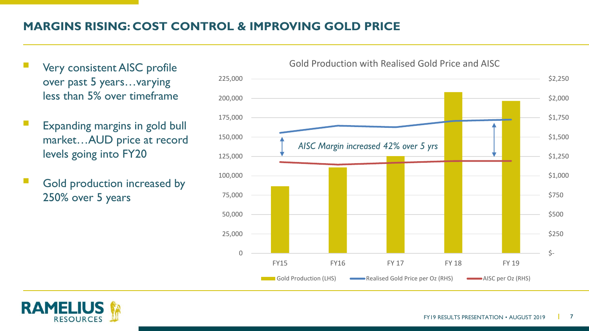# **MARGINS RISING: COST CONTROL & IMPROVING GOLD PRICE**

- Very consistent AISC profile over past 5 years…varying less than 5% over timeframe
- Expanding margins in gold bull market…AUD price at record levels going into FY20
- Gold production increased by 250% over 5 years



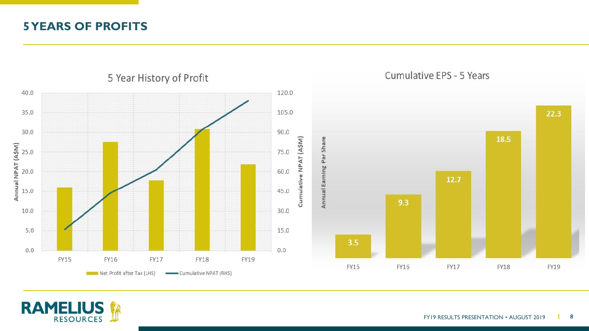#### **5 YEARS OF PROFITS**



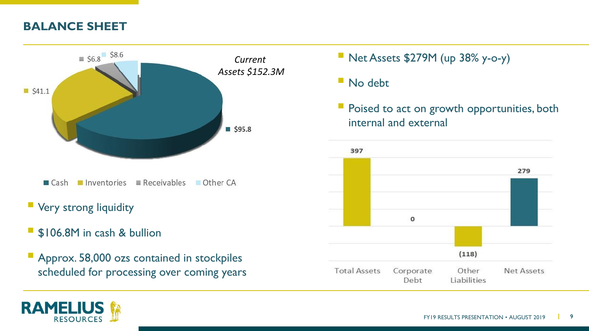# **BALANCE SHEET**



- **E** Very strong liquidity
- **SI06.8M** in cash & bullion
- **Approx. 58,000 ozs contained in stockpiles** scheduled for processing over coming years
- $\blacksquare$  Net Assets \$279M (up 38% y-o-y)
- $\blacksquare$  No debt
- Poised to act on growth opportunities, both internal and external



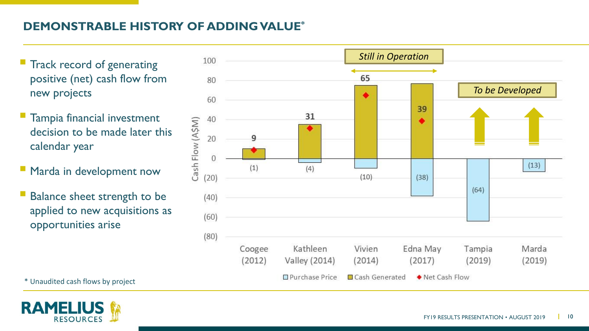### **DEMONSTRABLE HISTORY OF ADDING VALUE\***

- positive (net) cash flow from new projects
- Tampia financial investment decision to be made later this calendar year
- Marda in development now
- Balance sheet strength to be applied to new acquisitions as opportunities arise



\* Unaudited cash flows by project

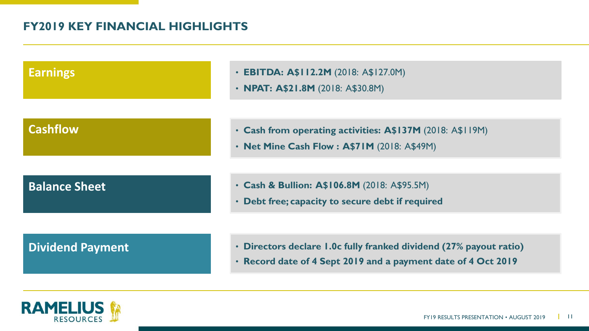### **FY2019 KEY FINANCIAL HIGHLIGHTS**

| <b>Earnings</b>         | • EBITDA: A\$112.2M (2018: A\$127.0M)<br>• NPAT: A\$21.8M (2018: A\$30.8M)                                                          |
|-------------------------|-------------------------------------------------------------------------------------------------------------------------------------|
| <b>Cashflow</b>         | • Cash from operating activities: A\$137M (2018: A\$119M)<br>• Net Mine Cash Flow: A\$71M (2018: A\$49M)                            |
| <b>Balance Sheet</b>    | • Cash & Bullion: A\$106.8M (2018: A\$95.5M)<br>• Debt free; capacity to secure debt if required                                    |
| <b>Dividend Payment</b> | • Directors declare 1.0c fully franked dividend (27% payout ratio)<br>· Record date of 4 Sept 2019 and a payment date of 4 Oct 2019 |